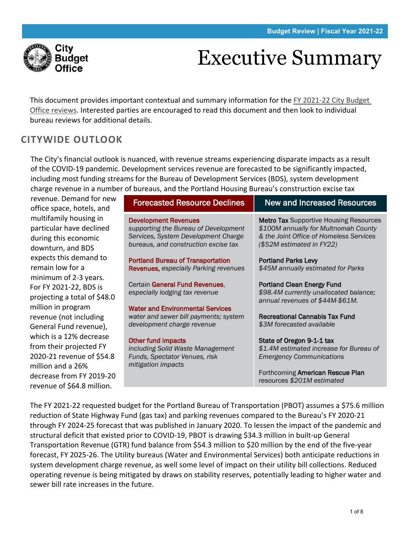

# Executive Summary

This document provides important contextual and summary information for the [FY 2021-22 City Budget](https://www.portlandoregon.gov/cbo/81429)  [Office reviews.](https://www.portlandoregon.gov/cbo/81429) Interested parties are encouraged to read this document and then look to individual bureau reviews for additional details.

# **CITYWIDE OUTLOOK**

The City's financial outlook is nuanced, with revenue streams experiencing disparate impacts as a result of the COVID-19 pandemic. Development services revenue are forecasted to be significantly impacted, including most funding streams for the Bureau of Development Services (BDS), system development charge revenue in a number of bureaus, and the Portland Housing Bureau's construction excise tax

revenue. Demand for new office space, hotels, and multifamily housing in particular have declined during this economic downturn, and BDS expects this demand to remain low for a minimum of 2-3 years. For FY 2021-22, BDS is projecting a total of \$48.0 million in program revenue (not including General Fund revenue), which is a 12% decrease from their projected FY 2020-21 revenue of \$54.8 million and a 26% decrease from FY 2019-20 revenue of \$64.8 million.

| fr or bureaus, and the Portiand Housing Bureau S construction excise tax                                                                           |                                                                                                                                                               |  |  |  |  |  |
|----------------------------------------------------------------------------------------------------------------------------------------------------|---------------------------------------------------------------------------------------------------------------------------------------------------------------|--|--|--|--|--|
| <b>Forecasted Resource Declines</b>                                                                                                                | <b>New and Increased Resources</b>                                                                                                                            |  |  |  |  |  |
| <b>Development Revenues</b><br>supporting the Bureau of Development<br>Services, System Development Charge<br>bureaus, and construction excise tax | <b>Metro Tax Supportive Housing Resources</b><br>\$100M annually for Multnomah County<br>& the Joint Office of Homeless Services<br>(\$52M estimated in FY22) |  |  |  |  |  |
| Portland Bureau of Transportation<br>Revenues, especially Parking revenues                                                                         | <b>Portland Parks Levy</b><br>\$45M annually estimated for Parks                                                                                              |  |  |  |  |  |
| Certain General Fund Revenues,<br>especially lodging tax revenue                                                                                   | <b>Portland Clean Energy Fund</b><br>\$98.4M currently unallocated balance;<br>annual revenues of \$44M-\$61M.                                                |  |  |  |  |  |
| <b>Water and Environmental Services</b><br>water and sewer bill payments; system<br>development charge revenue                                     | <b>Recreational Cannabis Tax Fund</b><br>\$3M forecasted available                                                                                            |  |  |  |  |  |
| <b>Other fund impacts</b><br>including Solid Waste Management<br>Funds, Spectator Venues, risk<br>mitigation impacts                               | State of Oregon 9-1-1 tax<br>\$1.4M estimated increase for Bureau of<br><b>Emergency Communications</b>                                                       |  |  |  |  |  |
|                                                                                                                                                    | Forthcoming American Rescue Plan<br>resources \$201M estimated                                                                                                |  |  |  |  |  |

The FY 2021-22 requested budget for the Portland Bureau of Transportation (PBOT) assumes a \$75.6 million reduction of State Highway Fund (gas tax) and parking revenues compared to the Bureau's FY 2020-21 through FY 2024-25 forecast that was published in January 2020. To lessen the impact of the pandemic and structural deficit that existed prior to COVID-19, PBOT is drawing \$34.3 million in built-up General Transportation Revenue (GTR) fund balance from \$54.3 million to \$20 million by the end of the five-year forecast, FY 2025-26. The Utility bureaus (Water and Environmental Services) both anticipate reductions in system development charge revenue, as well some level of impact on their utility bill collections. Reduced operating revenue is being mitigated by draws on stability reserves, potentially leading to higher water and sewer bill rate increases in the future.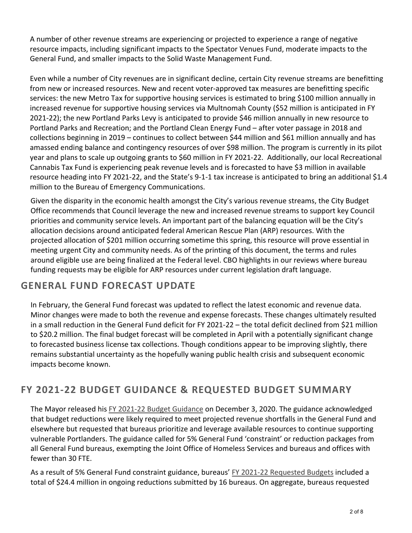A number of other revenue streams are experiencing or projected to experience a range of negative resource impacts, including significant impacts to the Spectator Venues Fund, moderate impacts to the General Fund, and smaller impacts to the Solid Waste Management Fund.

Even while a number of City revenues are in significant decline, certain City revenue streams are benefitting from new or increased resources. New and recent voter-approved tax measures are benefitting specific services: the new Metro Tax for supportive housing services is estimated to bring \$100 million annually in increased revenue for supportive housing services via Multnomah County (\$52 million is anticipated in FY 2021-22); the new Portland Parks Levy is anticipated to provide \$46 million annually in new resource to Portland Parks and Recreation; and the Portland Clean Energy Fund – after voter passage in 2018 and collections beginning in 2019 – continues to collect between \$44 million and \$61 million annually and has amassed ending balance and contingency resources of over \$98 million. The program is currently in its pilot year and plans to scale up outgoing grants to \$60 million in FY 2021-22. Additionally, our local Recreational Cannabis Tax Fund is experiencing peak revenue levels and is forecasted to have \$3 million in available resource heading into FY 2021-22, and the State's 9-1-1 tax increase is anticipated to bring an additional \$1.4 million to the Bureau of Emergency Communications.

Given the disparity in the economic health amongst the City's various revenue streams, the City Budget Office recommends that Council leverage the new and increased revenue streams to support key Council priorities and community service levels. An important part of the balancing equation will be the City's allocation decisions around anticipated federal American Rescue Plan (ARP) resources. With the projected allocation of \$201 million occurring sometime this spring, this resource will prove essential in meeting urgent City and community needs. As of the printing of this document, the terms and rules around eligible use are being finalized at the Federal level. CBO highlights in our reviews where bureau funding requests may be eligible for ARP resources under current legislation draft language.

# **GENERAL FUND FORECAST UPDATE**

In February, the General Fund forecast was updated to reflect the latest economic and revenue data. Minor changes were made to both the revenue and expense forecasts. These changes ultimately resulted in a small reduction in the General Fund deficit for FY 2021-22 – the total deficit declined from \$21 million to \$20.2 million. The final budget forecast will be completed in April with a potentially significant change to forecasted business license tax collections. Though conditions appear to be improving slightly, there remains substantial uncertainty as the hopefully waning public health crisis and subsequent economic impacts become known.

# **FY 2021-22 BUDGET GUIDANCE & REQUESTED BUDGET SUMMARY**

The Mayor released hi[s FY 2021-22 Budget Guidance](https://www.portlandoregon.gov/cbo/article/779096) on December 3, 2020. The guidance acknowledged that budget reductions were likely required to meet projected revenue shortfalls in the General Fund and elsewhere but requested that bureaus prioritize and leverage available resources to continue supporting vulnerable Portlanders. The guidance called for 5% General Fund 'constraint' or reduction packages from all General Fund bureaus, exempting the Joint Office of Homeless Services and bureaus and offices with fewer than 30 FTE.

As a result of 5% General Fund constraint guidance, bureaus' [FY 2021-22 Requested Budgets](https://www.portlandoregon.gov/cbo/81371) included a total of \$24.4 million in ongoing reductions submitted by 16 bureaus. On aggregate, bureaus requested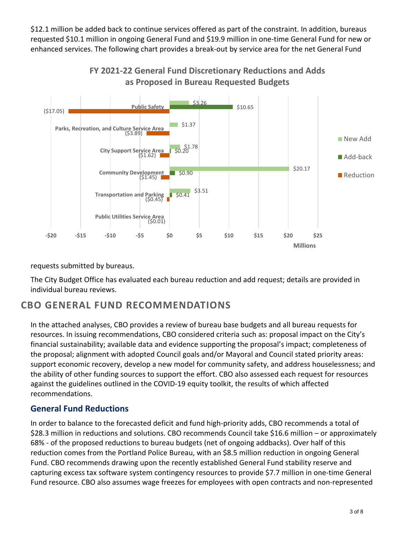\$12.1 million be added back to continue services offered as part of the constraint. In addition, bureaus requested \$10.1 million in ongoing General Fund and \$19.9 million in one-time General Fund for new or enhanced services. The following chart provides a break-out by service area for the net General Fund



**FY 2021-22 General Fund Discretionary Reductions and Adds as Proposed in Bureau Requested Budgets**

#### requests submitted by bureaus.

The City Budget Office has evaluated each bureau reduction and add request; details are provided in individual bureau reviews.

## **CBO GENERAL FUND RECOMMENDATIONS**

In the attached analyses, CBO provides a review of bureau base budgets and all bureau requests for resources. In issuing recommendations, CBO considered criteria such as: proposal impact on the City's financial sustainability; available data and evidence supporting the proposal's impact; completeness of the proposal; alignment with adopted Council goals and/or Mayoral and Council stated priority areas: support economic recovery, develop a new model for community safety, and address houselessness; and the ability of other funding sources to support the effort. CBO also assessed each request for resources against the guidelines outlined in the COVID-19 equity toolkit, the results of which affected recommendations.

### **General Fund Reductions**

In order to balance to the forecasted deficit and fund high-priority adds, CBO recommends a total of \$28.3 million in reductions and solutions. CBO recommends Council take \$16.6 million – or approximately 68% - of the proposed reductions to bureau budgets (net of ongoing addbacks). Over half of this reduction comes from the Portland Police Bureau, with an \$8.5 million reduction in ongoing General Fund. CBO recommends drawing upon the recently established General Fund stability reserve and capturing excess tax software system contingency resources to provide \$7.7 million in one-time General Fund resource. CBO also assumes wage freezes for employees with open contracts and non-represented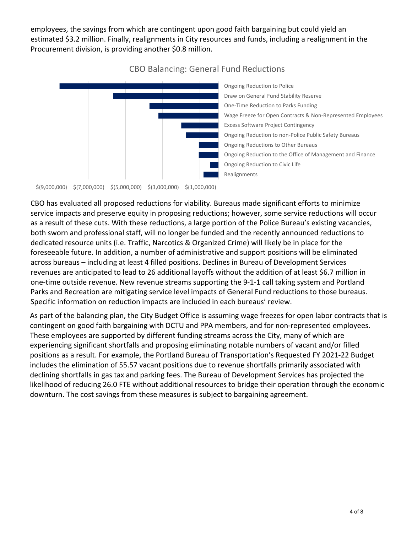employees, the savings from which are contingent upon good faith bargaining but could yield an estimated \$3.2 million. Finally, realignments in City resources and funds, including a realignment in the Procurement division, is providing another \$0.8 million.



### CBO Balancing: General Fund Reductions

\$(9,000,000) \$(7,000,000) \$(5,000,000) \$(3,000,000) \$(1,000,000)

CBO has evaluated all proposed reductions for viability. Bureaus made significant efforts to minimize service impacts and preserve equity in proposing reductions; however, some service reductions will occur as a result of these cuts. With these reductions, a large portion of the Police Bureau's existing vacancies, both sworn and professional staff, will no longer be funded and the recently announced reductions to dedicated resource units (i.e. Traffic, Narcotics & Organized Crime) will likely be in place for the foreseeable future. In addition, a number of administrative and support positions will be eliminated across bureaus – including at least 4 filled positions. Declines in Bureau of Development Services revenues are anticipated to lead to 26 additional layoffs without the addition of at least \$6.7 million in one-time outside revenue. New revenue streams supporting the 9-1-1 call taking system and Portland Parks and Recreation are mitigating service level impacts of General Fund reductions to those bureaus. Specific information on reduction impacts are included in each bureaus' review.

As part of the balancing plan, the City Budget Office is assuming wage freezes for open labor contracts that is contingent on good faith bargaining with DCTU and PPA members, and for non-represented employees. These employees are supported by different funding streams across the City, many of which are experiencing significant shortfalls and proposing eliminating notable numbers of vacant and/or filled positions as a result. For example, the Portland Bureau of Transportation's Requested FY 2021-22 Budget includes the elimination of 55.57 vacant positions due to revenue shortfalls primarily associated with declining shortfalls in gas tax and parking fees. The Bureau of Development Services has projected the likelihood of reducing 26.0 FTE without additional resources to bridge their operation through the economic downturn. The cost savings from these measures is subject to bargaining agreement.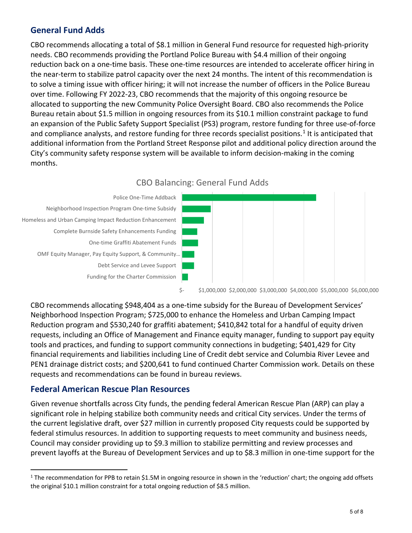### **General Fund Adds**

CBO recommends allocating a total of \$8.1 million in General Fund resource for requested high-priority needs. CBO recommends providing the Portland Police Bureau with \$4.4 million of their ongoing reduction back on a one-time basis. These one-time resources are intended to accelerate officer hiring in the near-term to stabilize patrol capacity over the next 24 months. The intent of this recommendation is to solve a timing issue with officer hiring; it will not increase the number of officers in the Police Bureau over time. Following FY 2022-23, CBO recommends that the majority of this ongoing resource be allocated to supporting the new Community Police Oversight Board. CBO also recommends the Police Bureau retain about \$1.5 million in ongoing resources from its \$10.1 million constraint package to fund an expansion of the Public Safety Support Specialist (PS3) program, restore funding for three use-of-force and compliance analysts, and restore funding for three records specialist positions.<sup>[1](#page-4-0)</sup> It is anticipated that additional information from the Portland Street Response pilot and additional policy direction around the City's community safety response system will be available to inform decision-making in the coming months.





CBO recommends allocating \$948,404 as a one-time subsidy for the Bureau of Development Services' Neighborhood Inspection Program; \$725,000 to enhance the Homeless and Urban Camping Impact Reduction program and \$530,240 for graffiti abatement; \$410,842 total for a handful of equity driven requests, including an Office of Management and Finance equity manager, funding to support pay equity tools and practices, and funding to support community connections in budgeting; \$401,429 for City financial requirements and liabilities including Line of Credit debt service and Columbia River Levee and PEN1 drainage district costs; and \$200,641 to fund continued Charter Commission work. Details on these requests and recommendations can be found in bureau reviews.

#### **Federal American Rescue Plan Resources**

Given revenue shortfalls across City funds, the pending federal American Rescue Plan (ARP) can play a significant role in helping stabilize both community needs and critical City services. Under the terms of the current legislative draft, over \$27 million in currently proposed City requests could be supported by federal stimulus resources. In addition to supporting requests to meet community and business needs, Council may consider providing up to \$9.3 million to stabilize permitting and review processes and prevent layoffs at the Bureau of Development Services and up to \$8.3 million in one-time support for the

<span id="page-4-0"></span><sup>&</sup>lt;sup>1</sup> The recommendation for PPB to retain \$1.5M in ongoing resource in shown in the 'reduction' chart; the ongoing add offsets the original \$10.1 million constraint for a total ongoing reduction of \$8.5 million.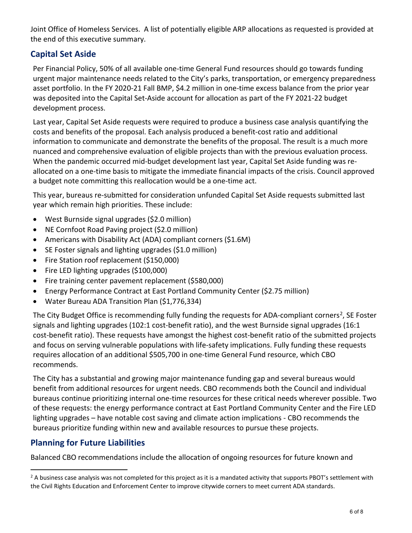Joint Office of Homeless Services. A list of potentially eligible ARP allocations as requested is provided at the end of this executive summary.

## **Capital Set Aside**

Per Financial Policy, 50% of all available one-time General Fund resources should go towards funding urgent major maintenance needs related to the City's parks, transportation, or emergency preparedness asset portfolio. In the FY 2020-21 Fall BMP, \$4.2 million in one-time excess balance from the prior year was deposited into the Capital Set-Aside account for allocation as part of the FY 2021-22 budget development process.

Last year, Capital Set Aside requests were required to produce a business case analysis quantifying the costs and benefits of the proposal. Each analysis produced a benefit-cost ratio and additional information to communicate and demonstrate the benefits of the proposal. The result is a much more nuanced and comprehensive evaluation of eligible projects than with the previous evaluation process. When the pandemic occurred mid-budget development last year, Capital Set Aside funding was reallocated on a one-time basis to mitigate the immediate financial impacts of the crisis. Council approved a budget note committing this reallocation would be a one-time act.

This year, bureaus re-submitted for consideration unfunded Capital Set Aside requests submitted last year which remain high priorities. These include:

- West Burnside signal upgrades (\$2.0 million)
- NE Cornfoot Road Paving project (\$2.0 million)
- Americans with Disability Act (ADA) compliant corners (\$1.6M)
- SE Foster signals and lighting upgrades (\$1.0 million)
- Fire Station roof replacement (\$150,000)
- Fire LED lighting upgrades (\$100,000)
- Fire training center pavement replacement (\$580,000)
- Energy Performance Contract at East Portland Community Center (\$2.75 million)
- Water Bureau ADA Transition Plan (\$1,776,334)

The City Budget Office is recommending fully funding the requests for ADA-compliant corners<sup>[2](#page-5-0)</sup>, SE Foster signals and lighting upgrades (102:1 cost-benefit ratio), and the west Burnside signal upgrades (16:1 cost-benefit ratio). These requests have amongst the highest cost-benefit ratio of the submitted projects and focus on serving vulnerable populations with life-safety implications. Fully funding these requests requires allocation of an additional \$505,700 in one-time General Fund resource, which CBO recommends.

The City has a substantial and growing major maintenance funding gap and several bureaus would benefit from additional resources for urgent needs. CBO recommends both the Council and individual bureaus continue prioritizing internal one-time resources for these critical needs wherever possible. Two of these requests: the energy performance contract at East Portland Community Center and the Fire LED lighting upgrades – have notable cost saving and climate action implications - CBO recommends the bureaus prioritize funding within new and available resources to pursue these projects.

### **Planning for Future Liabilities**

Balanced CBO recommendations include the allocation of ongoing resources for future known and

<span id="page-5-0"></span><sup>&</sup>lt;sup>2</sup> A business case analysis was not completed for this project as it is a mandated activity that supports PBOT's settlement with the Civil Rights Education and Enforcement Center to improve citywide corners to meet current ADA standards.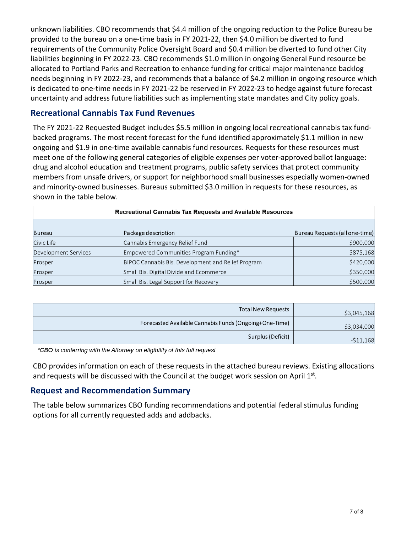unknown liabilities. CBO recommends that \$4.4 million of the ongoing reduction to the Police Bureau be provided to the bureau on a one-time basis in FY 2021-22, then \$4.0 million be diverted to fund requirements of the Community Police Oversight Board and \$0.4 million be diverted to fund other City liabilities beginning in FY 2022-23. CBO recommends \$1.0 million in ongoing General Fund resource be allocated to Portland Parks and Recreation to enhance funding for critical major maintenance backlog needs beginning in FY 2022-23, and recommends that a balance of \$4.2 million in ongoing resource which is dedicated to one-time needs in FY 2021-22 be reserved in FY 2022-23 to hedge against future forecast uncertainty and address future liabilities such as implementing state mandates and City policy goals.

#### **Recreational Cannabis Tax Fund Revenues**

The FY 2021-22 Requested Budget includes \$5.5 million in ongoing local recreational cannabis tax fundbacked programs. The most recent forecast for the fund identified approximately \$1.1 million in new ongoing and \$1.9 in one-time available cannabis fund resources. Requests for these resources must meet one of the following general categories of eligible expenses per voter-approved ballot language: drug and alcohol education and treatment programs, public safety services that protect community members from unsafe drivers, or support for neighborhood small businesses especially women-owned and minority-owned businesses. Bureaus submitted \$3.0 million in requests for these resources, as shown in the table below.

| Recreational Cannabis Tax Requests and Available Resources |                                                    |                                |  |  |  |  |  |  |
|------------------------------------------------------------|----------------------------------------------------|--------------------------------|--|--|--|--|--|--|
| Bureau                                                     | Package description                                | Bureau Requests (all one-time) |  |  |  |  |  |  |
| Civic Life                                                 | Cannabis Emergency Relief Fund                     | \$900,000                      |  |  |  |  |  |  |
| Development Services                                       | Empowered Communities Program Funding*             | \$875,168                      |  |  |  |  |  |  |
| Prosper                                                    | BIPOC Cannabis Bis. Development and Relief Program | \$420,000                      |  |  |  |  |  |  |
| Prosper                                                    | Small Bis. Digital Divide and Ecommerce            | \$350,000                      |  |  |  |  |  |  |
| Prosper                                                    | Small Bis. Legal Support for Recovery              | \$500,000                      |  |  |  |  |  |  |

| <b>Total New Requests</b>                              | \$3,045,168 |
|--------------------------------------------------------|-------------|
| Forecasted Available Cannabis Funds (Ongoing+One-Time) | \$3,034,000 |
| Surplus (Deficit)                                      | $-511,168$  |

\*CBO is conferring with the Attorney on eligibility of this full request

CBO provides information on each of these requests in the attached bureau reviews. Existing allocations and requests will be discussed with the Council at the budget work session on April 1st.

#### **Request and Recommendation Summary**

The table below summarizes CBO funding recommendations and potential federal stimulus funding options for all currently requested adds and addbacks.